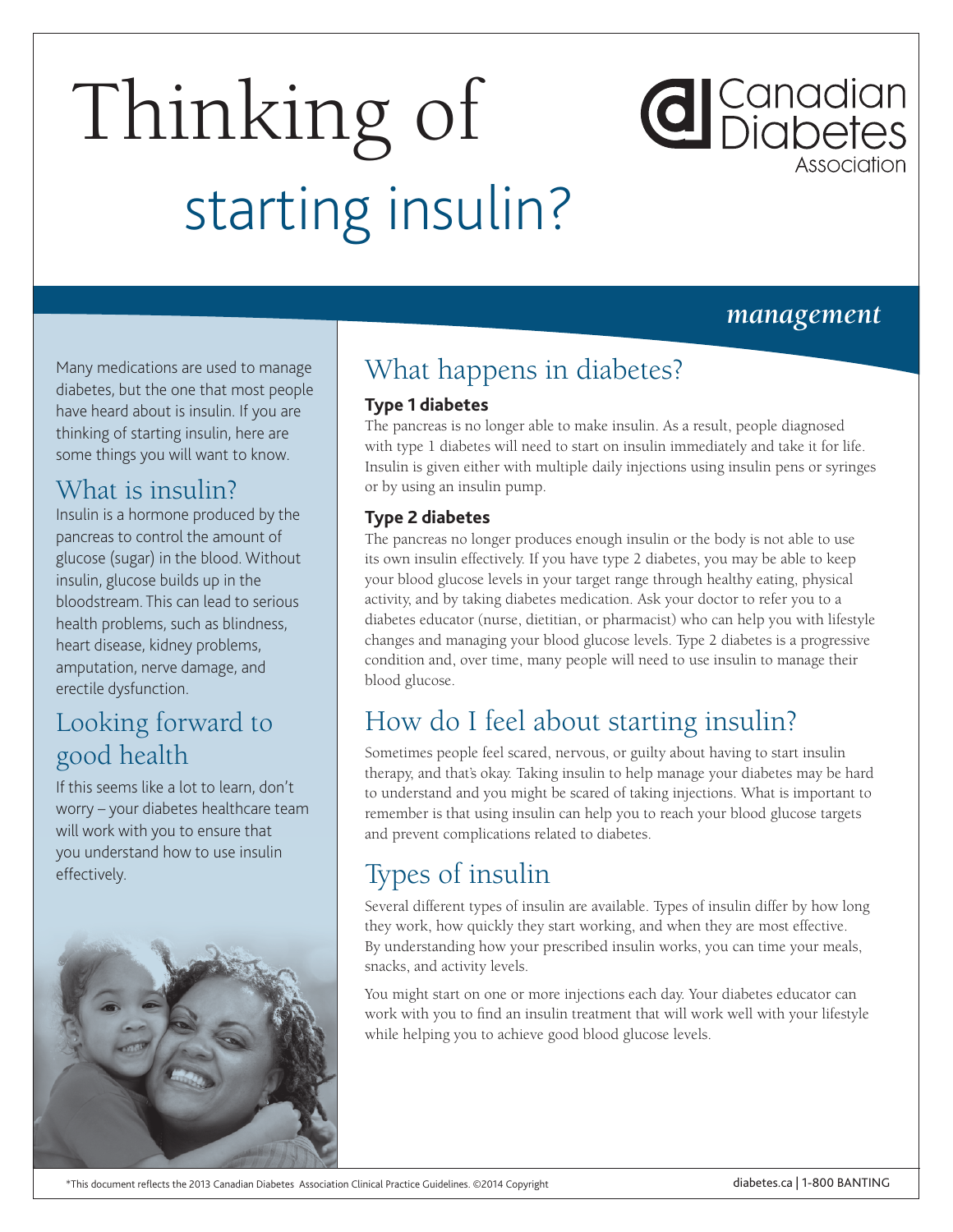# Thinking of starting insulin?

#### *management*

**d** Canadian<br>Diabetes

Many medications are used to manage diabetes, but the one that most people have heard about is insulin. If you are thinking of starting insulin, here are some things you will want to know.

#### What is insulin?

Insulin is a hormone produced by the pancreas to control the amount of glucose (sugar) in the blood. Without insulin, glucose builds up in the bloodstream. This can lead to serious health problems, such as blindness, heart disease, kidney problems, amputation, nerve damage, and erectile dysfunction.

#### Looking forward to good health

If this seems like a lot to learn, don't worry – your diabetes healthcare team will work with you to ensure that you understand how to use insulin effectively.



## What happens in diabetes?

#### **Type 1 diabetes**

The pancreas is no longer able to make insulin. As a result, people diagnosed with type 1 diabetes will need to start on insulin immediately and take it for life. Insulin is given either with multiple daily injections using insulin pens or syringes or by using an insulin pump.

#### **Type 2 diabetes**

The pancreas no longer produces enough insulin or the body is not able to use its own insulin effectively. If you have type 2 diabetes, you may be able to keep your blood glucose levels in your target range through healthy eating, physical activity, and by taking diabetes medication. Ask your doctor to refer you to a diabetes educator (nurse, dietitian, or pharmacist) who can help you with lifestyle changes and managing your blood glucose levels. Type 2 diabetes is a progressive condition and, over time, many people will need to use insulin to manage their blood glucose.

### How do I feel about starting insulin?

Sometimes people feel scared, nervous, or guilty about having to start insulin therapy, and that's okay. Taking insulin to help manage your diabetes may be hard to understand and you might be scared of taking injections. What is important to remember is that using insulin can help you to reach your blood glucose targets and prevent complications related to diabetes.

# Types of insulin

Several different types of insulin are available. Types of insulin differ by how long they work, how quickly they start working, and when they are most effective. By understanding how your prescribed insulin works, you can time your meals, snacks, and activity levels.

You might start on one or more injections each day. Your diabetes educator can work with you to find an insulin treatment that will work well with your lifestyle while helping you to achieve good blood glucose levels.

#### \*This document reflects the 2013 Canadian Diabetes Association Clinical Practice Guidelines. ©2014 Copyright diabetes.ca | 1-800 BANTING